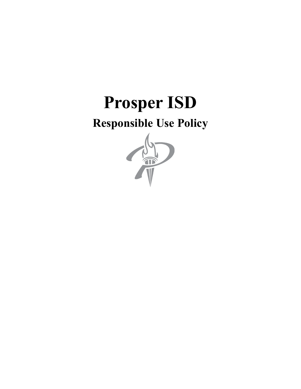# **Prosper ISD**

# **Responsible Use Policy**

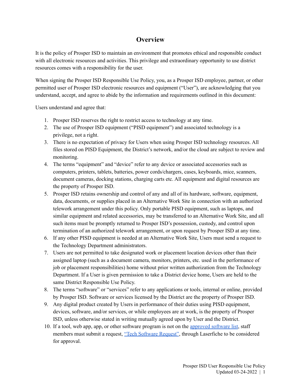#### **Overview**

It is the policy of Prosper ISD to maintain an environment that promotes ethical and responsible conduct with all electronic resources and activities. This privilege and extraordinary opportunity to use district resources comes with a responsibility for the user.

When signing the Prosper ISD Responsible Use Policy, you, as a Prosper ISD employee, partner, or other permitted user of Prosper ISD electronic resources and equipment ("User"), are acknowledging that you understand, accept, and agree to abide by the information and requirements outlined in this document:

Users understand and agree that:

- 1. Prosper ISD reserves the right to restrict access to technology at any time.
- 2. The use of Prosper ISD equipment ("PISD equipment") and associated technology is a privilege, not a right.
- 3. There is no expectation of privacy for Users when using Prosper ISD technology resources. All files stored on PISD Equipment, the District's network, and/or the cloud are subject to review and monitoring.
- 4. The terms "equipment" and "device" refer to any device or associated accessories such as computers, printers, tablets, batteries, power cords/chargers, cases, keyboards, mice, scanners, document cameras, docking stations, charging carts etc. All equipment and digital resources are the property of Prosper ISD.
- 5. Prosper ISD retains ownership and control of any and all of its hardware, software, equipment, data, documents, or supplies placed in an Alternative Work Site in connection with an authorized telework arrangement under this policy. Only portable PISD equipment, such as laptops, and similar equipment and related accessories, may be transferred to an Alternative Work Site, and all such items must be promptly returned to Prosper ISD's possession, custody, and control upon termination of an authorized telework arrangement, or upon request by Prosper ISD at any time.
- 6. If any other PISD equipment is needed at an Alternative Work Site, Users must send a request to the Technology Department administrators.
- 7. Users are not permitted to take designated work or placement location devices other than their assigned laptop (such as a document camera, monitors, printers, etc. used in the performance of job or placement responsibilities) home without prior written authorization from the Technology Department. If a User is given permission to take a District device home, Users are held to the same District Responsible Use Policy.
- 8. The terms "software" or "services" refer to any applications or tools, internal or online, provided by Prosper ISD. Software or services licensed by the District are the property of Prosper ISD.
- 9. Any digital product created by Users in performance of their duties using PISD equipment, devices, software, and/or services, or while employees are at work, is the property of Prosper ISD, unless otherwise stated in writing mutually agreed upon by User and the District.
- 10. If a tool, web app, app, or other software program is not on the [approved](https://sites.google.com/prosper-isd.net/techtools) software list, staff members must submit a request, "Tech Software [Request"](https://forms.prosper-isd.net/Forms/Software_Request), through Laserfiche to be considered for approval.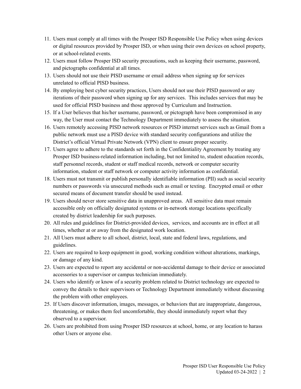- 11. Users must comply at all times with the Prosper ISD Responsible Use Policy when using devices or digital resources provided by Prosper ISD, or when using their own devices on school property, or at school-related events.
- 12. Users must follow Prosper ISD security precautions, such as keeping their username, password, and pictographs confidential at all times.
- 13. Users should not use their PISD username or email address when signing up for services unrelated to official PISD business.
- 14. By employing best cyber security practices, Users should not use their PISD password or any iterations of their password when signing up for any services. This includes services that may be used for official PISD business and those approved by Curriculum and Instruction.
- 15. If a User believes that his/her username, password, or pictograph have been compromised in any way, the User must contact the Technology Department immediately to assess the situation.
- 16. Users remotely accessing PISD network resources or PISD internet services such as Gmail from a public network must use a PISD device with standard security configurations and utilize the District's official Virtual Private Network (VPN) client to ensure proper security.
- 17. Users agree to adhere to the standards set forth in the Confidentiality Agreement by treating any Prosper ISD business-related information including, but not limited to, student education records, staff personnel records, student or staff medical records, network or computer security information, student or staff network or computer activity information as confidential.
- 18. Users must not transmit or publish personally identifiable information (PII) such as social security numbers or passwords via unsecured methods such as email or texting. Encrypted email or other secured means of document transfer should be used instead.
- 19. Users should never store sensitive data in unapproved areas. All sensitive data must remain accessible only on officially designated systems or in-network storage locations specifically created by district leadership for such purposes.
- 20. All rules and guidelines for District-provided devices, services, and accounts are in effect at all times, whether at or away from the designated work location.
- 21. All Users must adhere to all school, district, local, state and federal laws, regulations, and guidelines.
- 22. Users are required to keep equipment in good, working condition without alterations, markings, or damage of any kind.
- 23. Users are expected to report any accidental or non-accidental damage to their device or associated accessories to a supervisor or campus technician immediately.
- 24. Users who identify or know of a security problem related to District technology are expected to convey the details to their supervisors or Technology Department immediately without discussing the problem with other employees.
- 25. If Users discover information, images, messages, or behaviors that are inappropriate, dangerous, threatening, or makes them feel uncomfortable, they should immediately report what they observed to a supervisor.
- 26. Users are prohibited from using Prosper ISD resources at school, home, or any location to harass other Users or anyone else.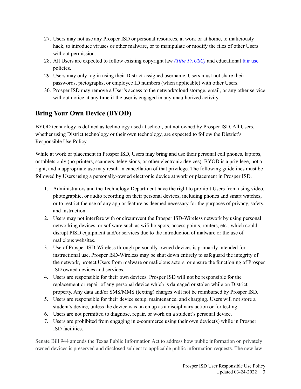- 27. Users may not use any Prosper ISD or personal resources, at work or at home, to maliciously hack, to introduce viruses or other malware, or to manipulate or modify the files of other Users without permission.
- 28. All Users are expected to follow existing copyright law *(Title [17,USC\)](https://www.copyright.gov/title17/)* and educational [fair](https://www.copyright.gov/fair-use/more-info.html) use policies.
- 29. Users may only log in using their District-assigned username. Users must not share their passwords, pictographs, or employee ID numbers (when applicable) with other Users.
- 30. Prosper ISD may remove a User's access to the network/cloud storage, email, or any other service without notice at any time if the user is engaged in any unauthorized activity.

## **Bring Your Own Device (BYOD)**

BYOD technology is defined as technology used at school, but not owned by Prosper ISD. All Users, whether using District technology or their own technology, are expected to follow the District's Responsible Use Policy.

While at work or placement in Prosper ISD, Users may bring and use their personal cell phones, laptops, or tablets only (no printers, scanners, televisions, or other electronic devices). BYOD is a privilege, not a right, and inappropriate use may result in cancellation of that privilege. The following guidelines must be followed by Users using a personally-owned electronic device at work or placement in Prosper ISD.

- 1. Administrators and the Technology Department have the right to prohibit Users from using video, photographic, or audio recording on their personal devices, including phones and smart watches, or to restrict the use of any app or feature as deemed necessary for the purposes of privacy, safety, and instruction.
- 2. Users may not interfere with or circumvent the Prosper ISD-Wireless network by using personal networking devices, or software such as wifi hotspots, access points, routers, etc., which could disrupt PISD equipment and/or services due to the introduction of malware or the use of malicious websites.
- 3. Use of Prosper ISD-Wireless through personally-owned devices is primarily intended for instructional use. Prosper ISD-Wireless may be shut down entirely to safeguard the integrity of the network, protect Users from malware or malicious actors, or ensure the functioning of Prosper ISD owned devices and services.
- 4. Users are responsible for their own devices. Prosper ISD will not be responsible for the replacement or repair of any personal device which is damaged or stolen while on District property. Any data and/or SMS/MMS (texting) charges will not be reimbursed by Prosper ISD.
- 5. Users are responsible for their device setup, maintenance, and charging. Users will not store a student's device, unless the device was taken up as a disciplinary action or for testing.
- 6. Users are not permitted to diagnose, repair, or work on a student's personal device.
- 7. Users are prohibited from engaging in e-commerce using their own device(s) while in Prosper ISD facilities.

Senate Bill 944 amends the Texas Public Information Act to address how public information on privately owned devices is preserved and disclosed subject to applicable public information requests. The new law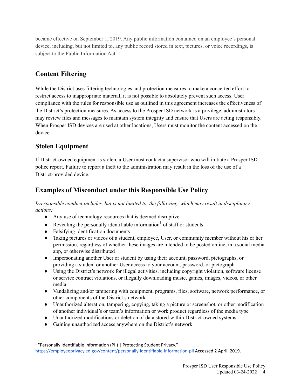became effective on September 1, 2019. Any public information contained on an employee's personal device, including, but not limited to, any public record stored in text, pictures, or voice recordings, is subject to the Public Information Act.

### **Content Filtering**

While the District uses filtering technologies and protection measures to make a concerted effort to restrict access to inappropriate material, it is not possible to absolutely prevent such access. User compliance with the rules for responsible use as outlined in this agreement increases the effectiveness of the District's protection measures. As access to the Prosper ISD network is a privilege, administrators may review files and messages to maintain system integrity and ensure that Users are acting responsibly. When Prosper ISD devices are used at other locations, Users must monitor the content accessed on the device.

#### **Stolen Equipment**

If District-owned equipment is stolen, a User must contact a supervisor who will initiate a Prosper ISD police report. Failure to report a theft to the administration may result in the loss of the use of a District-provided device.

#### **Examples of Misconduct under this Responsible Use Policy**

*Irresponsible conduct includes, but is not limited to, the following, which may result in disciplinary actions:*

- Any use of technology resources that is deemed disruptive
- Revealing the personally identifiable information<sup>1</sup> of staff or students
- Falsifying identification documents
- Taking pictures or videos of a student, employee, User, or community member without his or her permission, regardless of whether these images are intended to be posted online, in a social media app, or otherwise distributed
- Impersonating another User or student by using their account, password, pictographs, or providing a student or another User access to your account, password, or pictograph
- Using the District's network for illegal activities, including copyright violation, software license or service contract violations, or illegally downloading music, games, images, videos, or other media
- Vandalizing and/or tampering with equipment, programs, files, software, network performance, or other components of the District's network
- Unauthorized alteration, tampering, copying, taking a picture or screenshot, or other modification of another individual's or team's information or work product regardless of the media type
- Unauthorized modifications or deletion of data stored within District-owned systems
- Gaining unauthorized access anywhere on the District's network

<sup>&</sup>lt;sup>1</sup> "Personally Identifiable Information (PII) | Protecting Student Privacy." [https://employeeprivacy.ed.gov/content/personally-identifiable-information-pii](https://studentprivacy.ed.gov/content/personally-identifiable-information-pii) Accessed 2 April. 2019.